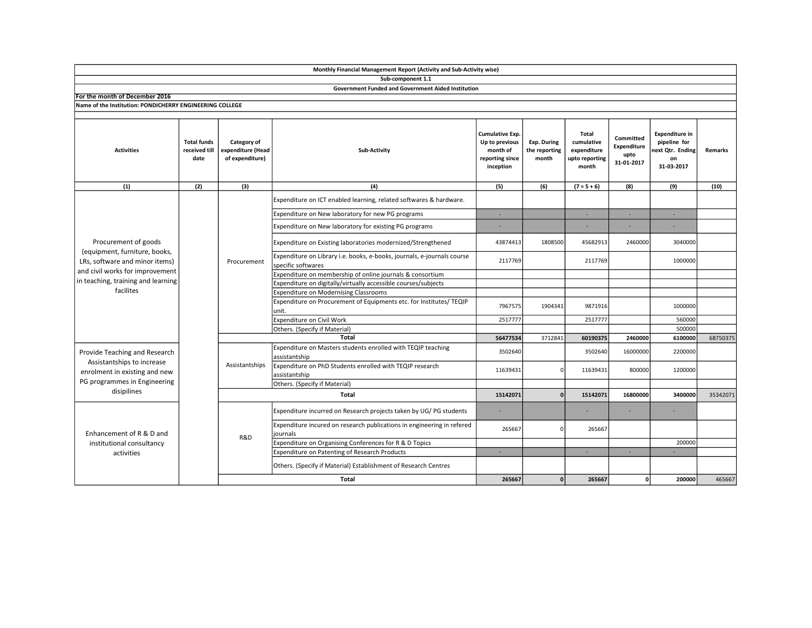|                                                                                                                                                                               |                                             |                                                     | Monthly Financial Management Report (Activity and Sub-Activity wise)                          |                                                                               |                                       |                                                               |                                                |                                                                              |          |
|-------------------------------------------------------------------------------------------------------------------------------------------------------------------------------|---------------------------------------------|-----------------------------------------------------|-----------------------------------------------------------------------------------------------|-------------------------------------------------------------------------------|---------------------------------------|---------------------------------------------------------------|------------------------------------------------|------------------------------------------------------------------------------|----------|
|                                                                                                                                                                               |                                             |                                                     | Sub-component 1.1                                                                             |                                                                               |                                       |                                                               |                                                |                                                                              |          |
|                                                                                                                                                                               |                                             |                                                     | <b>Government Funded and Government Aided Institution</b>                                     |                                                                               |                                       |                                                               |                                                |                                                                              |          |
| For the month of December 2016                                                                                                                                                |                                             |                                                     |                                                                                               |                                                                               |                                       |                                                               |                                                |                                                                              |          |
| Name of the Institution: PONDICHERRY ENGINEERING COLLEGE                                                                                                                      |                                             |                                                     |                                                                                               |                                                                               |                                       |                                                               |                                                |                                                                              |          |
| <b>Activities</b>                                                                                                                                                             | <b>Total funds</b><br>received till<br>date | Category of<br>expenditure (Head<br>of expenditure) | Sub-Activity                                                                                  | Cumulative Exp.<br>Up to previous<br>month of<br>reporting since<br>inception | Exp. During<br>the reporting<br>month | Total<br>cumulative<br>expenditure<br>upto reporting<br>month | Committed<br>Expenditure<br>upto<br>31-01-2017 | <b>Expenditure in</b><br>pipeline for<br>ext Qtr. Ending<br>on<br>31-03-2017 | Remarks  |
| (1)                                                                                                                                                                           | (2)                                         | (3)                                                 | (4)                                                                                           | (5)                                                                           | (6)                                   | $(7 = 5 + 6)$                                                 | (8)                                            | (9)                                                                          | (10)     |
| Procurement of goods<br>(equipment, furniture, books,<br>LRs, software and minor items)<br>and civil works for improvement<br>in teaching, training and learning<br>facilites |                                             | Procurement                                         | Expenditure on ICT enabled learning, related softwares & hardware.                            |                                                                               |                                       |                                                               |                                                |                                                                              |          |
|                                                                                                                                                                               |                                             |                                                     | Expenditure on New laboratory for new PG programs                                             | ×.                                                                            |                                       | ×.                                                            |                                                | ×.                                                                           |          |
|                                                                                                                                                                               |                                             |                                                     | Expenditure on New laboratory for existing PG programs                                        |                                                                               |                                       |                                                               |                                                |                                                                              |          |
|                                                                                                                                                                               |                                             |                                                     | Expenditure on Existing laboratories modernized/Strengthened                                  | 43874413                                                                      | 1808500                               | 45682913                                                      | 2460000                                        | 3040000                                                                      |          |
|                                                                                                                                                                               |                                             |                                                     | Expenditure on Library i.e. books, e-books, journals, e-journals course<br>specific softwares | 2117769                                                                       |                                       | 2117769                                                       |                                                | 1000000                                                                      |          |
|                                                                                                                                                                               |                                             |                                                     | Expenditure on membership of online journals & consortium                                     |                                                                               |                                       |                                                               |                                                |                                                                              |          |
|                                                                                                                                                                               |                                             |                                                     | Expenditure on digitally/virtually accessible courses/subjects                                |                                                                               |                                       |                                                               |                                                |                                                                              |          |
|                                                                                                                                                                               |                                             |                                                     | Expenditure on Modernising Classrooms                                                         |                                                                               |                                       |                                                               |                                                |                                                                              |          |
|                                                                                                                                                                               |                                             |                                                     | Expenditure on Procurement of Equipments etc. for Institutes/ TEQIP<br>unit.                  | 7967575                                                                       | 1904341                               | 9871916                                                       |                                                | 1000000                                                                      |          |
|                                                                                                                                                                               |                                             |                                                     | Expenditure on Civil Work                                                                     | 2517777                                                                       |                                       | 2517777                                                       |                                                | 560000                                                                       |          |
|                                                                                                                                                                               |                                             |                                                     | Others. (Specify if Material)                                                                 |                                                                               |                                       |                                                               |                                                | 500000                                                                       |          |
|                                                                                                                                                                               |                                             |                                                     | <b>Total</b>                                                                                  | 56477534                                                                      | 3712841                               | 60190375                                                      | 2460000                                        | 6100000                                                                      | 68750375 |
| Provide Teaching and Research<br>Assistantships to increase<br>enrolment in existing and new<br>PG programmes in Engineering<br>disipilines                                   |                                             |                                                     | Expenditure on Masters students enrolled with TEQIP teaching<br>assistantship                 | 3502640                                                                       |                                       | 3502640                                                       | 16000000                                       | 2200000                                                                      |          |
|                                                                                                                                                                               |                                             | Assistantships                                      | Expenditure on PhD Students enrolled with TEQIP research<br>assistantship                     | 11639431                                                                      | $\mathbf{0}$                          | 11639431                                                      | 800000                                         | 1200000                                                                      |          |
|                                                                                                                                                                               |                                             |                                                     | Others. (Specify if Material)                                                                 |                                                                               |                                       |                                                               |                                                |                                                                              |          |
|                                                                                                                                                                               |                                             |                                                     | Total                                                                                         | 15142071                                                                      | $\Omega$                              | 15142071                                                      | 16800000                                       | 3400000                                                                      | 35342071 |
| Enhancement of R & D and<br>institutional consultancy<br>activities                                                                                                           |                                             | R&D                                                 | Expenditure incurred on Research projects taken by UG/PG students                             | ٠                                                                             |                                       |                                                               |                                                |                                                                              |          |
|                                                                                                                                                                               |                                             |                                                     | Expenditure incured on research publications in engineering in refered<br>journals            | 265667                                                                        | $\Omega$                              | 265667                                                        |                                                |                                                                              |          |
|                                                                                                                                                                               |                                             |                                                     | Expenditure on Organising Conferences for R & D Topics                                        |                                                                               |                                       |                                                               |                                                | 200000                                                                       |          |
|                                                                                                                                                                               |                                             |                                                     | <b>Expenditure on Patenting of Research Products</b>                                          | ×.                                                                            |                                       | . п.                                                          | $\sim$                                         | ×.                                                                           |          |
|                                                                                                                                                                               |                                             |                                                     | Others. (Specify if Material) Establishment of Research Centres                               |                                                                               |                                       |                                                               |                                                |                                                                              |          |
|                                                                                                                                                                               |                                             |                                                     | <b>Total</b>                                                                                  | 265667                                                                        | $\mathbf{0}$                          | 265667                                                        | ٥I                                             | 200000                                                                       | 465667   |